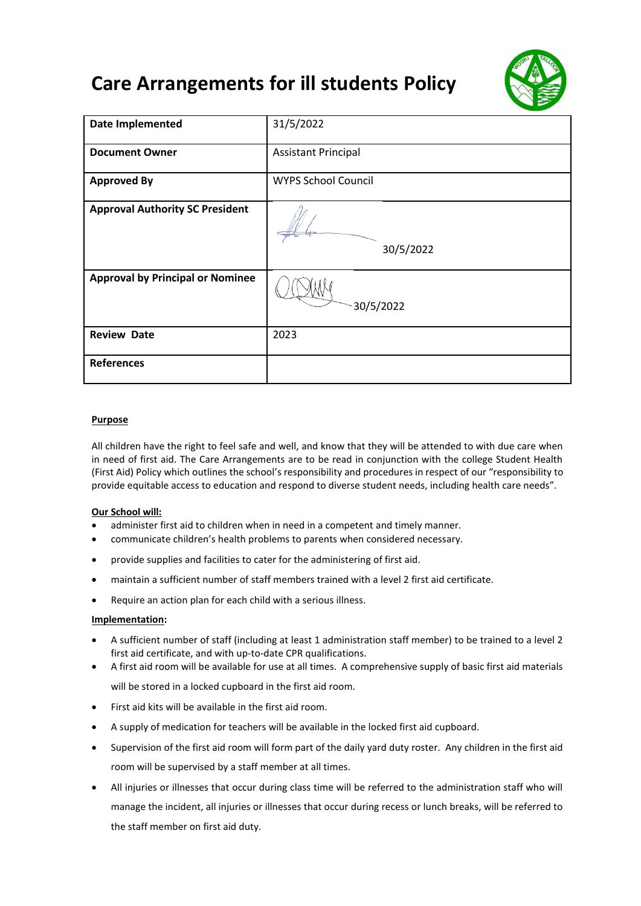# **Care Arrangements for ill students Policy**



| <b>Date Implemented</b>                 | 31/5/2022                  |
|-----------------------------------------|----------------------------|
| <b>Document Owner</b>                   | <b>Assistant Principal</b> |
| <b>Approved By</b>                      | <b>WYPS School Council</b> |
| <b>Approval Authority SC President</b>  | 30/5/2022                  |
| <b>Approval by Principal or Nominee</b> | 30/5/2022                  |
| <b>Review Date</b>                      | 2023                       |
| <b>References</b>                       |                            |

### **Purpose**

All children have the right to feel safe and well, and know that they will be attended to with due care when in need of first aid. The Care Arrangements are to be read in conjunction with the college Student Health (First Aid) Policy which outlines the school's responsibility and procedures in respect of our "responsibility to provide equitable access to education and respond to diverse student needs, including health care needs".

### **Our School will:**

- administer first aid to children when in need in a competent and timely manner.
- communicate children's health problems to parents when considered necessary.
- provide supplies and facilities to cater for the administering of first aid.
- maintain a sufficient number of staff members trained with a level 2 first aid certificate.
- Require an action plan for each child with a serious illness.

### **Implementation:**

- A sufficient number of staff (including at least 1 administration staff member) to be trained to a level 2 first aid certificate, and with up-to-date CPR qualifications.
- A first aid room will be available for use at all times. A comprehensive supply of basic first aid materials will be stored in a locked cupboard in the first aid room.
- First aid kits will be available in the first aid room.
- A supply of medication for teachers will be available in the locked first aid cupboard.
- Supervision of the first aid room will form part of the daily yard duty roster. Any children in the first aid room will be supervised by a staff member at all times.
- All injuries or illnesses that occur during class time will be referred to the administration staff who will manage the incident, all injuries or illnesses that occur during recess or lunch breaks, will be referred to the staff member on first aid duty.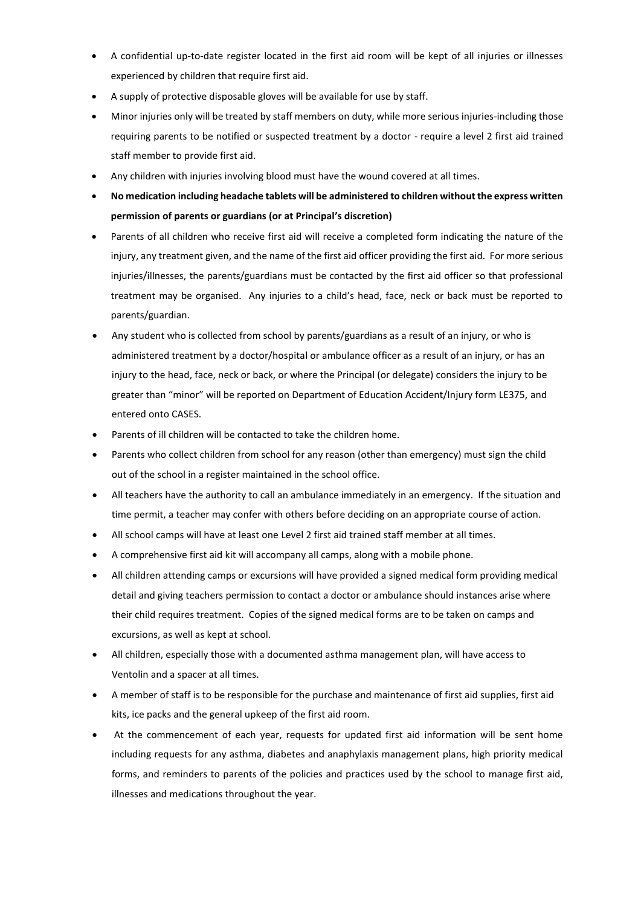- A confidential up-to-date register located in the first aid room will be kept of all injuries or illnesses experienced by children that require first aid.
- A supply of protective disposable gloves will be available for use by staff.
- Minor injuries only will be treated by staff members on duty, while more serious injuries-including those requiring parents to be notified or suspected treatment by a doctor - require a level 2 first aid trained staff member to provide first aid.
- Any children with injuries involving blood must have the wound covered at all times.
- **No medication including headache tablets will be administered to children without the express written permission of parents or guardians (or at Principal's discretion)**
- Parents of all children who receive first aid will receive a completed form indicating the nature of the injury, any treatment given, and the name of the first aid officer providing the first aid. For more serious injuries/illnesses, the parents/guardians must be contacted by the first aid officer so that professional treatment may be organised. Any injuries to a child's head, face, neck or back must be reported to parents/guardian.
- Any student who is collected from school by parents/guardians as a result of an injury, or who is administered treatment by a doctor/hospital or ambulance officer as a result of an injury, or has an injury to the head, face, neck or back, or where the Principal (or delegate) considers the injury to be greater than "minor" will be reported on Department of Education Accident/Injury form LE375, and entered onto CASES.
- Parents of ill children will be contacted to take the children home.
- Parents who collect children from school for any reason (other than emergency) must sign the child out of the school in a register maintained in the school office.
- All teachers have the authority to call an ambulance immediately in an emergency. If the situation and time permit, a teacher may confer with others before deciding on an appropriate course of action.
- All school camps will have at least one Level 2 first aid trained staff member at all times.
- A comprehensive first aid kit will accompany all camps, along with a mobile phone.
- All children attending camps or excursions will have provided a signed medical form providing medical detail and giving teachers permission to contact a doctor or ambulance should instances arise where their child requires treatment. Copies of the signed medical forms are to be taken on camps and excursions, as well as kept at school.
- All children, especially those with a documented asthma management plan, will have access to Ventolin and a spacer at all times.
- A member of staff is to be responsible for the purchase and maintenance of first aid supplies, first aid kits, ice packs and the general upkeep of the first aid room.
- At the commencement of each year, requests for updated first aid information will be sent home including requests for any asthma, diabetes and anaphylaxis management plans, high priority medical forms, and reminders to parents of the policies and practices used by the school to manage first aid, illnesses and medications throughout the year.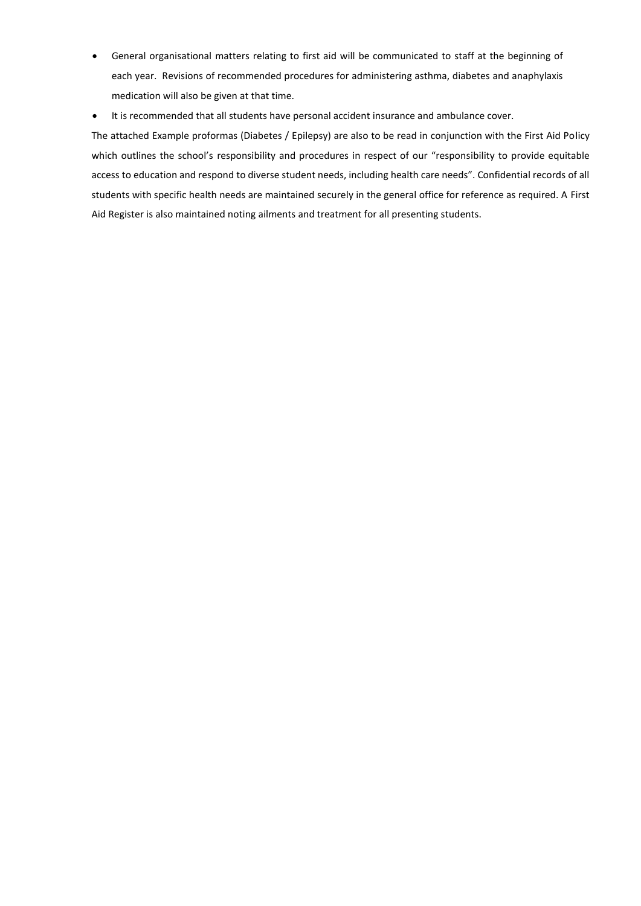- General organisational matters relating to first aid will be communicated to staff at the beginning of each year. Revisions of recommended procedures for administering asthma, diabetes and anaphylaxis medication will also be given at that time.
- It is recommended that all students have personal accident insurance and ambulance cover.

The attached Example proformas (Diabetes / Epilepsy) are also to be read in conjunction with the First Aid Policy which outlines the school's responsibility and procedures in respect of our "responsibility to provide equitable access to education and respond to diverse student needs, including health care needs". Confidential records of all students with specific health needs are maintained securely in the general office for reference as required. A First Aid Register is also maintained noting ailments and treatment for all presenting students.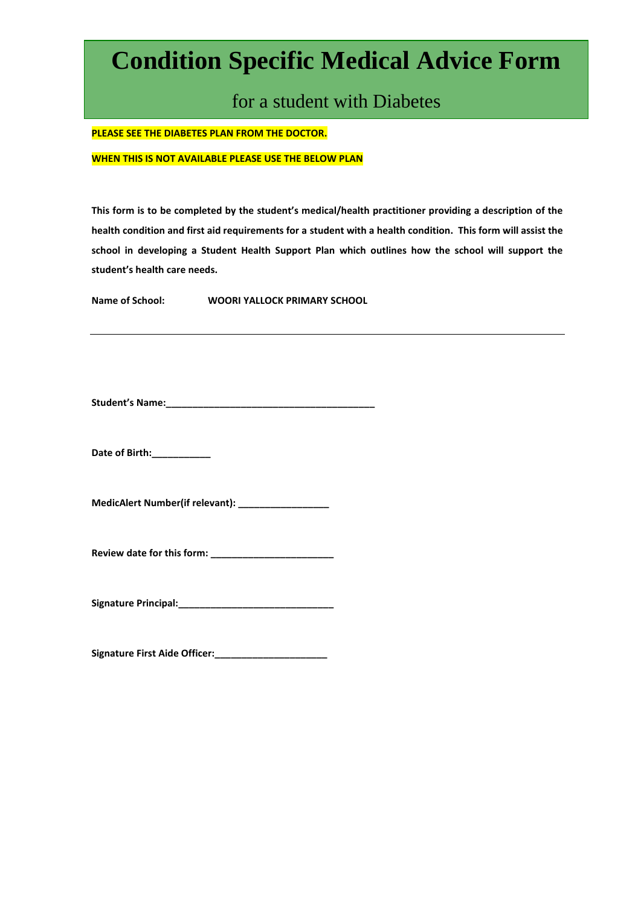# **Condition Specific Medical Advice Form**

for a student with Diabetes

**PLEASE SEE THE DIABETES PLAN FROM THE DOCTOR.** 

**WHEN THIS IS NOT AVAILABLE PLEASE USE THE BELOW PLAN**

**This form is to be completed by the student's medical/health practitioner providing a description of the health condition and first aid requirements for a student with a health condition. This form will assist the school in developing a Student Health Support Plan which outlines how the school will support the student's health care needs.**

**Name of School: WOORI YALLOCK PRIMARY SCHOOL**

**Student's Name:\_\_\_\_\_\_\_\_\_\_\_\_\_\_\_\_\_\_\_\_\_\_\_\_\_\_\_\_\_\_\_\_\_\_\_\_\_\_\_** 

**Date of Birth:\_\_\_\_\_\_\_\_\_\_\_**

**MedicAlert Number(if relevant): \_\_\_\_\_\_\_\_\_\_\_\_\_\_\_\_\_** 

**Review date for this form: \_\_\_\_\_\_\_\_\_\_\_\_\_\_\_\_\_\_\_\_\_\_\_**

Signature Principal: **William State of Principal** 

**Signature First Aide Officer:\_\_\_\_\_\_\_\_\_\_\_\_\_\_\_\_\_\_\_\_\_**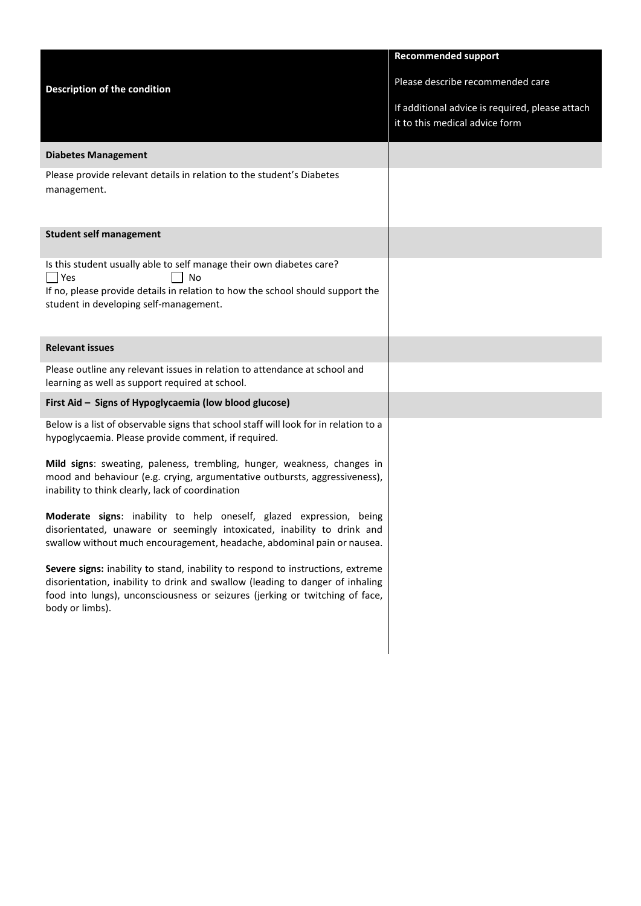|                                                                                                                                                                                                                                                                     | <b>Recommended support</b>                                                        |
|---------------------------------------------------------------------------------------------------------------------------------------------------------------------------------------------------------------------------------------------------------------------|-----------------------------------------------------------------------------------|
| <b>Description of the condition</b>                                                                                                                                                                                                                                 | Please describe recommended care                                                  |
|                                                                                                                                                                                                                                                                     | If additional advice is required, please attach<br>it to this medical advice form |
| <b>Diabetes Management</b>                                                                                                                                                                                                                                          |                                                                                   |
| Please provide relevant details in relation to the student's Diabetes<br>management.                                                                                                                                                                                |                                                                                   |
| <b>Student self management</b>                                                                                                                                                                                                                                      |                                                                                   |
| Is this student usually able to self manage their own diabetes care?<br><b>Yes</b><br>No<br>If no, please provide details in relation to how the school should support the<br>student in developing self-management.                                                |                                                                                   |
| <b>Relevant issues</b>                                                                                                                                                                                                                                              |                                                                                   |
| Please outline any relevant issues in relation to attendance at school and<br>learning as well as support required at school.                                                                                                                                       |                                                                                   |
| First Aid - Signs of Hypoglycaemia (low blood glucose)                                                                                                                                                                                                              |                                                                                   |
| Below is a list of observable signs that school staff will look for in relation to a<br>hypoglycaemia. Please provide comment, if required.                                                                                                                         |                                                                                   |
| Mild signs: sweating, paleness, trembling, hunger, weakness, changes in<br>mood and behaviour (e.g. crying, argumentative outbursts, aggressiveness),<br>inability to think clearly, lack of coordination                                                           |                                                                                   |
| Moderate signs: inability to help oneself, glazed expression, being<br>disorientated, unaware or seemingly intoxicated, inability to drink and<br>swallow without much encouragement, headache, abdominal pain or nausea.                                           |                                                                                   |
| Severe signs: inability to stand, inability to respond to instructions, extreme<br>disorientation, inability to drink and swallow (leading to danger of inhaling<br>food into lungs), unconsciousness or seizures (jerking or twitching of face,<br>body or limbs). |                                                                                   |
|                                                                                                                                                                                                                                                                     |                                                                                   |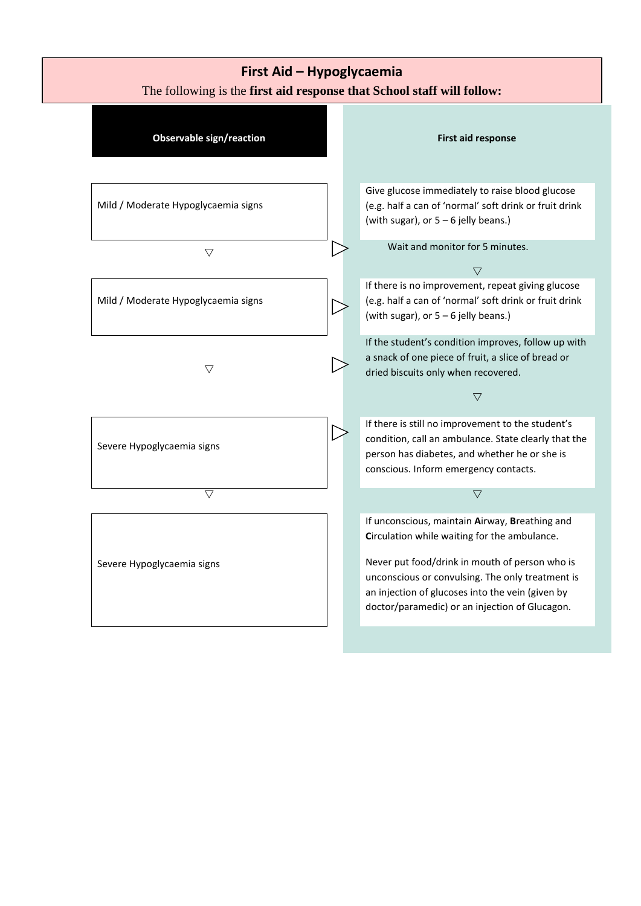## **First Aid – Hypoglycaemia**

The following is the **first aid response that School staff will follow:**

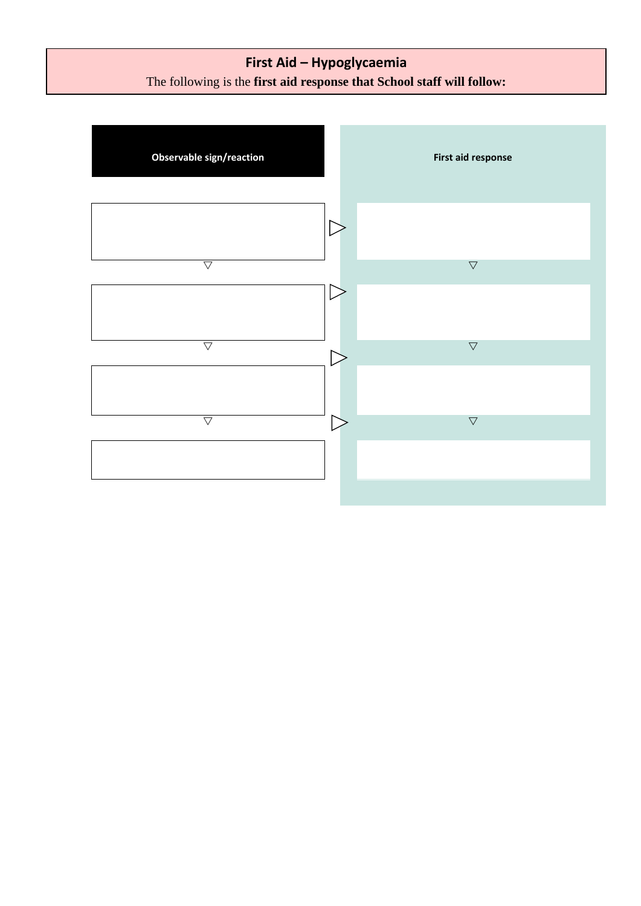## **First Aid – Hypoglycaemia** The following is the **first aid response that School staff will follow:**

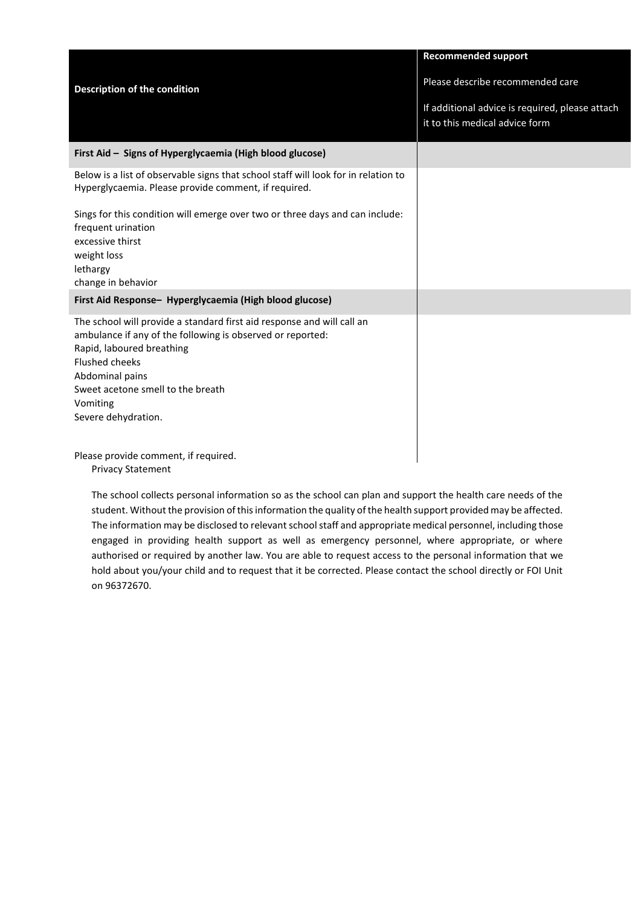|                                                                                                                                                                                                                                                                                       | <b>Recommended support</b>                                                        |
|---------------------------------------------------------------------------------------------------------------------------------------------------------------------------------------------------------------------------------------------------------------------------------------|-----------------------------------------------------------------------------------|
| <b>Description of the condition</b>                                                                                                                                                                                                                                                   | Please describe recommended care                                                  |
|                                                                                                                                                                                                                                                                                       | If additional advice is required, please attach<br>it to this medical advice form |
| First Aid - Signs of Hyperglycaemia (High blood glucose)                                                                                                                                                                                                                              |                                                                                   |
| Below is a list of observable signs that school staff will look for in relation to<br>Hyperglycaemia. Please provide comment, if required.                                                                                                                                            |                                                                                   |
| Sings for this condition will emerge over two or three days and can include:<br>frequent urination<br>excessive thirst<br>weight loss<br>lethargy<br>change in behavior                                                                                                               |                                                                                   |
| First Aid Response- Hyperglycaemia (High blood glucose)                                                                                                                                                                                                                               |                                                                                   |
| The school will provide a standard first aid response and will call an<br>ambulance if any of the following is observed or reported:<br>Rapid, laboured breathing<br><b>Flushed cheeks</b><br>Abdominal pains<br>Sweet acetone smell to the breath<br>Vomiting<br>Severe dehydration. |                                                                                   |
| Please provide comment, if required.                                                                                                                                                                                                                                                  |                                                                                   |

r, ir requireu Privacy Statement

The school collects personal information so as the school can plan and support the health care needs of the student. Without the provision of this information the quality of the health support provided may be affected. The information may be disclosed to relevant school staff and appropriate medical personnel, including those engaged in providing health support as well as emergency personnel, where appropriate, or where authorised or required by another law. You are able to request access to the personal information that we hold about you/your child and to request that it be corrected. Please contact the school directly or FOI Unit on 96372670.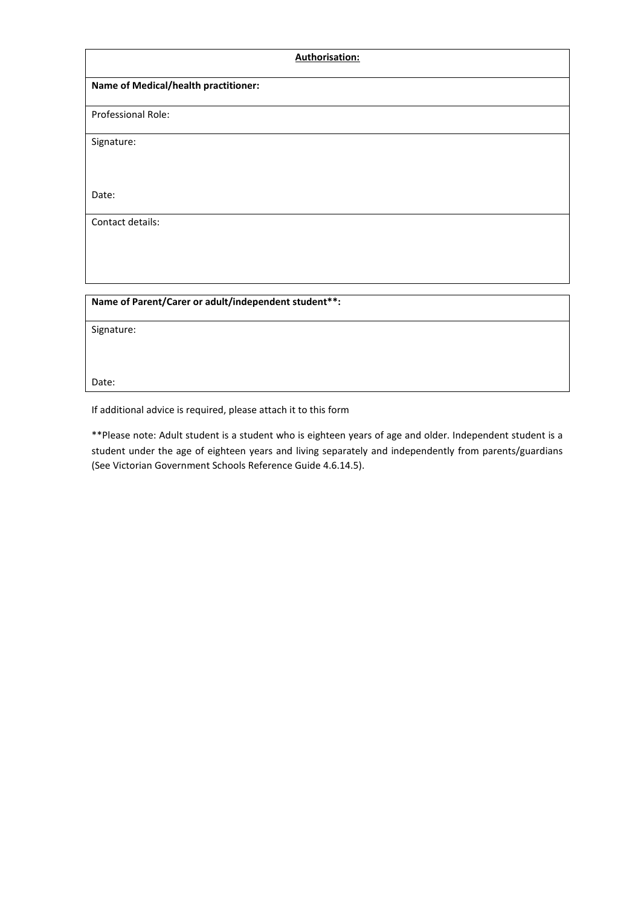| <b>Authorisation:</b>                                |  |
|------------------------------------------------------|--|
| Name of Medical/health practitioner:                 |  |
| Professional Role:                                   |  |
| Signature:                                           |  |
|                                                      |  |
| Date:                                                |  |
| Contact details:                                     |  |
|                                                      |  |
|                                                      |  |
| Name of Parent/Carer or adult/independent student**: |  |

Signature:

Date:

If additional advice is required, please attach it to this form

\*\*Please note: Adult student is a student who is eighteen years of age and older. Independent student is a student under the age of eighteen years and living separately and independently from parents/guardians (See Victorian Government Schools Reference Guide 4.6.14.5).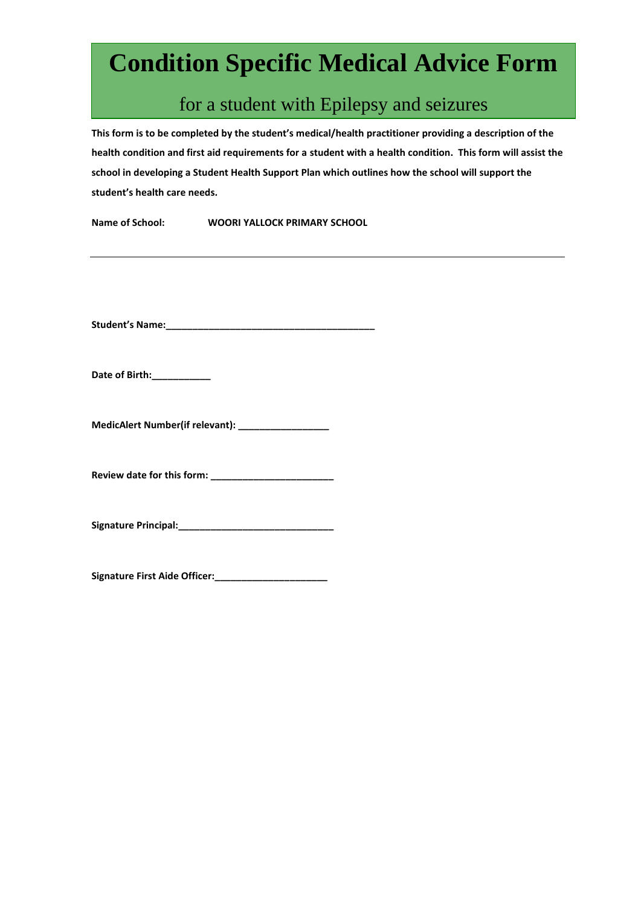# **Condition Specific Medical Advice Form**

# for a student with Epilepsy and seizures

**This form is to be completed by the student's medical/health practitioner providing a description of the health condition and first aid requirements for a student with a health condition. This form will assist the school in developing a Student Health Support Plan which outlines how the school will support the student's health care needs.**

**Name of School: WOORI YALLOCK PRIMARY SCHOOL**

**Student's Name:\_\_\_\_\_\_\_\_\_\_\_\_\_\_\_\_\_\_\_\_\_\_\_\_\_\_\_\_\_\_\_\_\_\_\_\_\_\_\_** 

**Date of Birth:\_\_\_\_\_\_\_\_\_\_\_**

**MedicAlert Number(if relevant): \_\_\_\_\_\_\_\_\_\_\_\_\_\_\_\_\_** 

**Review date for this form: \_\_\_\_\_\_\_\_\_\_\_\_\_\_\_\_\_\_\_\_\_\_\_**

**Signature Principal:\_\_\_\_\_\_\_\_\_\_\_\_\_\_\_\_\_\_\_\_\_\_\_\_\_\_\_\_\_**

**Signature First Aide Officer:\_\_\_\_\_\_\_\_\_\_\_\_\_\_\_\_\_\_\_\_\_**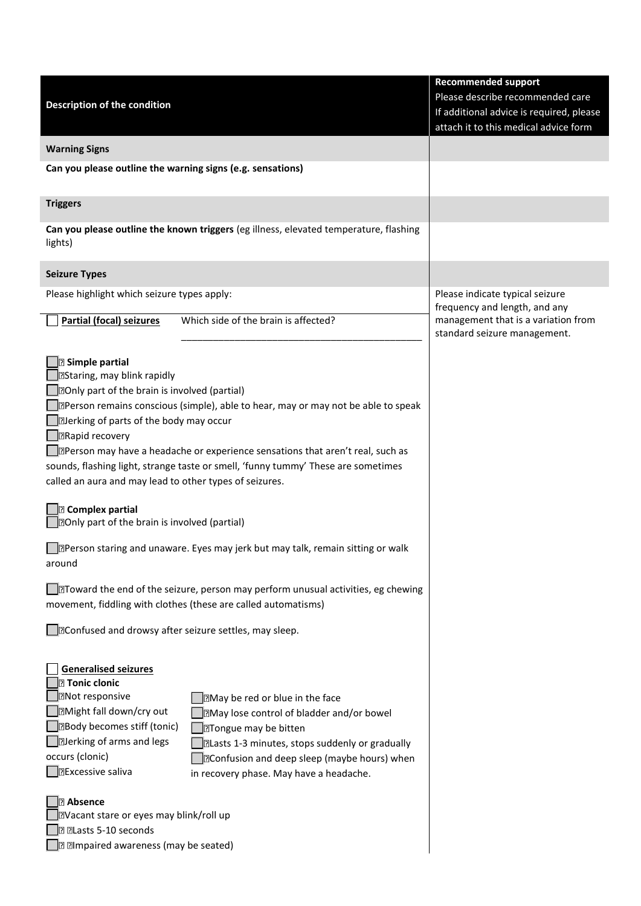|                                                                                                  |                                                                                                 | <b>Recommended support</b>                                       |
|--------------------------------------------------------------------------------------------------|-------------------------------------------------------------------------------------------------|------------------------------------------------------------------|
| <b>Description of the condition</b>                                                              |                                                                                                 | Please describe recommended care                                 |
|                                                                                                  |                                                                                                 | If additional advice is required, please                         |
|                                                                                                  |                                                                                                 | attach it to this medical advice form                            |
| <b>Warning Signs</b>                                                                             |                                                                                                 |                                                                  |
| Can you please outline the warning signs (e.g. sensations)                                       |                                                                                                 |                                                                  |
|                                                                                                  |                                                                                                 |                                                                  |
| <b>Triggers</b>                                                                                  |                                                                                                 |                                                                  |
| Can you please outline the known triggers (eg illness, elevated temperature, flashing<br>lights) |                                                                                                 |                                                                  |
| <b>Seizure Types</b>                                                                             |                                                                                                 |                                                                  |
| Please highlight which seizure types apply:                                                      |                                                                                                 | Please indicate typical seizure<br>frequency and length, and any |
| <b>Partial (focal) seizures</b>                                                                  | Which side of the brain is affected?                                                            | management that is a variation from                              |
|                                                                                                  |                                                                                                 | standard seizure management.                                     |
| <b>B</b> Simple partial                                                                          |                                                                                                 |                                                                  |
| BStaring, may blink rapidly                                                                      |                                                                                                 |                                                                  |
| <b>DOnly part of the brain is involved (partial)</b>                                             |                                                                                                 |                                                                  |
|                                                                                                  | <b>IDPerson remains conscious (simple), able to hear, may or may not be able to speak</b>       |                                                                  |
| Derking of parts of the body may occur                                                           |                                                                                                 |                                                                  |
| <b>DRapid recovery</b>                                                                           |                                                                                                 |                                                                  |
|                                                                                                  | <b>D</b> Person may have a headache or experience sensations that aren't real, such as          |                                                                  |
|                                                                                                  | sounds, flashing light, strange taste or smell, 'funny tummy' These are sometimes               |                                                                  |
| called an aura and may lead to other types of seizures.                                          |                                                                                                 |                                                                  |
|                                                                                                  |                                                                                                 |                                                                  |
| <b>B</b> Complex partial                                                                         |                                                                                                 |                                                                  |
| <b>DOnly part of the brain is involved (partial)</b>                                             |                                                                                                 |                                                                  |
|                                                                                                  | Person staring and unaware. Eyes may jerk but may talk, remain sitting or walk                  |                                                                  |
| around                                                                                           |                                                                                                 |                                                                  |
|                                                                                                  |                                                                                                 |                                                                  |
|                                                                                                  | JधToward the end of the seizure, person may perform unusual activities, eg chewing              |                                                                  |
| movement, fiddling with clothes (these are called automatisms)                                   |                                                                                                 |                                                                  |
|                                                                                                  |                                                                                                 |                                                                  |
| Confused and drowsy after seizure settles, may sleep.                                            |                                                                                                 |                                                                  |
|                                                                                                  |                                                                                                 |                                                                  |
| <b>Generalised seizures</b>                                                                      |                                                                                                 |                                                                  |
| $\boxdot$ Tonic clonic                                                                           |                                                                                                 |                                                                  |
| <b>DNot responsive</b>                                                                           | May be red or blue in the face                                                                  |                                                                  |
| <b>I</b> Might fall down/cry out<br><b>Body becomes stiff (tonic)</b>                            | <b>May lose control of bladder and/or bowel</b>                                                 |                                                                  |
| Derking of arms and legs                                                                         | Tongue may be bitten                                                                            |                                                                  |
| occurs (clonic)                                                                                  | <b>ILasts 1-3 minutes, stops suddenly or gradually</b>                                          |                                                                  |
| <b>DExcessive saliva</b>                                                                         | <b>D</b> Confusion and deep sleep (maybe hours) when<br>in recovery phase. May have a headache. |                                                                  |
|                                                                                                  |                                                                                                 |                                                                  |
| <b>Absence</b>                                                                                   |                                                                                                 |                                                                  |
| Nacant stare or eyes may blink/roll up                                                           |                                                                                                 |                                                                  |
| <b>D</b> DLasts 5-10 seconds                                                                     |                                                                                                 |                                                                  |
| I Impaired awareness (may be seated)                                                             |                                                                                                 |                                                                  |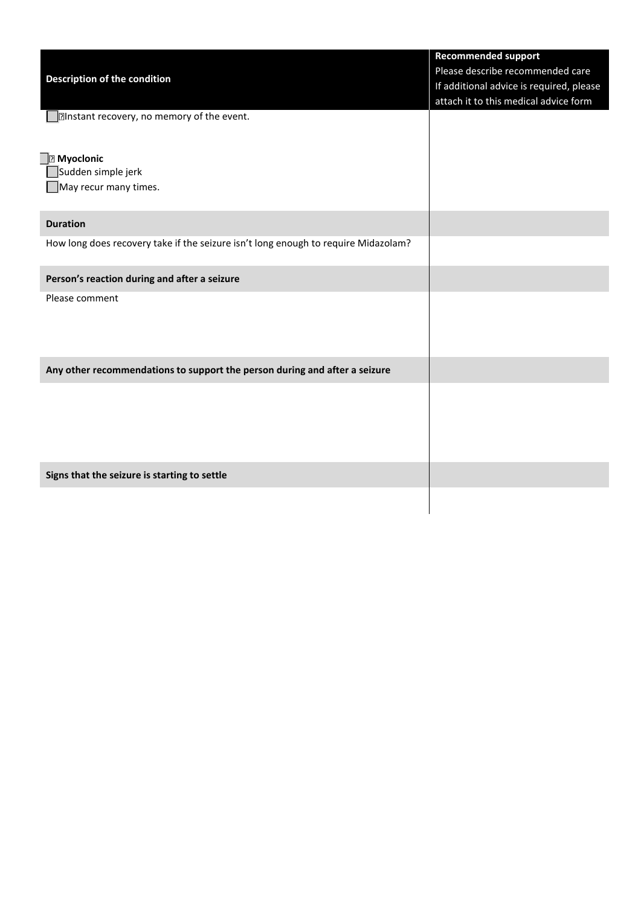|                                                                                    | <b>Recommended support</b>               |
|------------------------------------------------------------------------------------|------------------------------------------|
|                                                                                    | Please describe recommended care         |
| Description of the condition                                                       | If additional advice is required, please |
|                                                                                    | attach it to this medical advice form    |
| Instant recovery, no memory of the event.                                          |                                          |
|                                                                                    |                                          |
|                                                                                    |                                          |
| <b>R</b> Myoclonic                                                                 |                                          |
| Sudden simple jerk                                                                 |                                          |
| May recur many times.                                                              |                                          |
|                                                                                    |                                          |
| <b>Duration</b>                                                                    |                                          |
| How long does recovery take if the seizure isn't long enough to require Midazolam? |                                          |
|                                                                                    |                                          |
| Person's reaction during and after a seizure                                       |                                          |
| Please comment                                                                     |                                          |
|                                                                                    |                                          |
|                                                                                    |                                          |
|                                                                                    |                                          |
| Any other recommendations to support the person during and after a seizure         |                                          |
|                                                                                    |                                          |
|                                                                                    |                                          |
|                                                                                    |                                          |
|                                                                                    |                                          |
|                                                                                    |                                          |
|                                                                                    |                                          |
| Signs that the seizure is starting to settle                                       |                                          |
|                                                                                    |                                          |
|                                                                                    |                                          |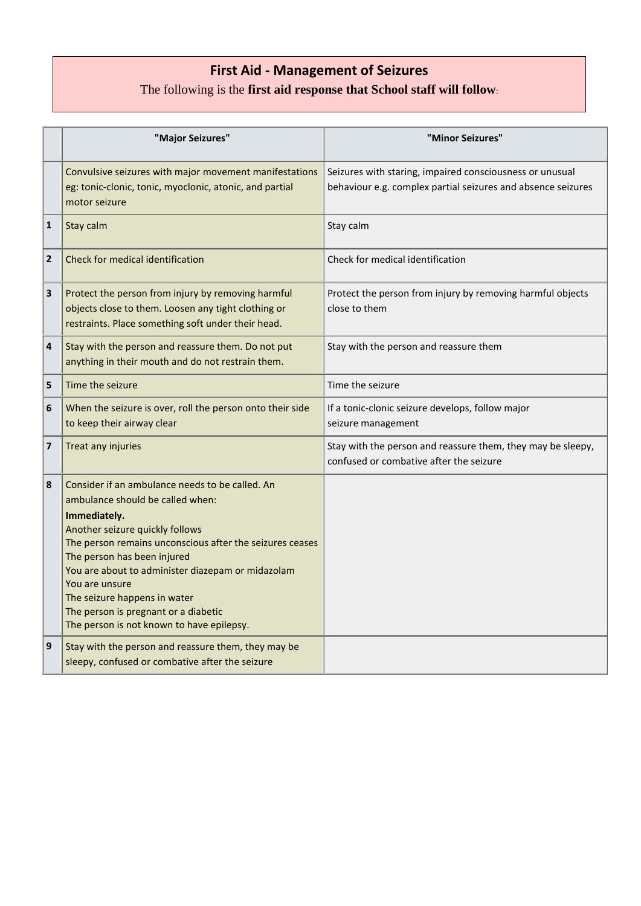## **First Aid - Management of Seizures**

## The following is the **first aid response that School staff will follow**:

(Developed by Children's Epilepsy Program, Royal Children's Hospital)

|              | "Major Seizures"                                                                                                                                                                                                                                                                                                                                                                                                              | "Minor Seizures"                                                                                                         |
|--------------|-------------------------------------------------------------------------------------------------------------------------------------------------------------------------------------------------------------------------------------------------------------------------------------------------------------------------------------------------------------------------------------------------------------------------------|--------------------------------------------------------------------------------------------------------------------------|
|              | Convulsive seizures with major movement manifestations<br>eg: tonic-clonic, tonic, myoclonic, atonic, and partial<br>motor seizure                                                                                                                                                                                                                                                                                            | Seizures with staring, impaired consciousness or unusual<br>behaviour e.g. complex partial seizures and absence seizures |
| $\mathbf{1}$ | Stay calm                                                                                                                                                                                                                                                                                                                                                                                                                     | Stay calm                                                                                                                |
| $\mathbf{2}$ | Check for medical identification                                                                                                                                                                                                                                                                                                                                                                                              | Check for medical identification                                                                                         |
| 3            | Protect the person from injury by removing harmful<br>objects close to them. Loosen any tight clothing or<br>restraints. Place something soft under their head.                                                                                                                                                                                                                                                               | Protect the person from injury by removing harmful objects<br>close to them                                              |
| 4            | Stay with the person and reassure them. Do not put<br>anything in their mouth and do not restrain them.                                                                                                                                                                                                                                                                                                                       | Stay with the person and reassure them                                                                                   |
| 5            | Time the seizure                                                                                                                                                                                                                                                                                                                                                                                                              | Time the seizure                                                                                                         |
| 6            | When the seizure is over, roll the person onto their side<br>to keep their airway clear                                                                                                                                                                                                                                                                                                                                       | If a tonic-clonic seizure develops, follow major<br>seizure management                                                   |
| 7            | Treat any injuries                                                                                                                                                                                                                                                                                                                                                                                                            | Stay with the person and reassure them, they may be sleepy,<br>confused or combative after the seizure                   |
| 8            | Consider if an ambulance needs to be called. An<br>ambulance should be called when:<br>Immediately.<br>Another seizure quickly follows<br>The person remains unconscious after the seizures ceases<br>The person has been injured<br>You are about to administer diazepam or midazolam<br>You are unsure<br>The seizure happens in water<br>The person is pregnant or a diabetic<br>The person is not known to have epilepsy. |                                                                                                                          |
| 9            | Stay with the person and reassure them, they may be<br>sleepy, confused or combative after the seizure                                                                                                                                                                                                                                                                                                                        |                                                                                                                          |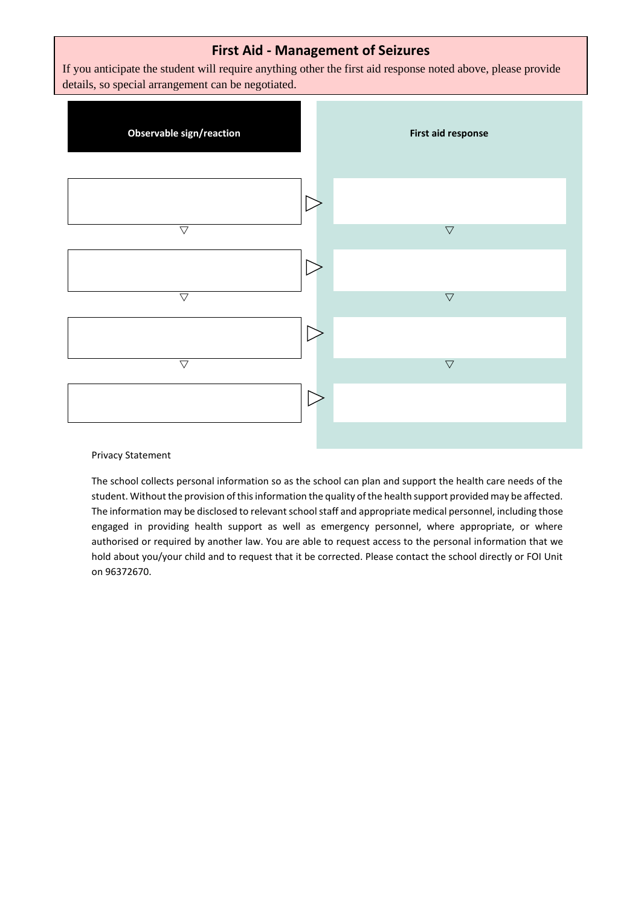### **First Aid - Management of Seizures**

If you anticipate the student will require anything other the first aid response noted above, please provide details, so special arrangement can be negotiated.



#### Privacy Statement

The school collects personal information so as the school can plan and support the health care needs of the student. Without the provision of this information the quality of the health support provided may be affected. The information may be disclosed to relevant school staff and appropriate medical personnel, including those engaged in providing health support as well as emergency personnel, where appropriate, or where authorised or required by another law. You are able to request access to the personal information that we hold about you/your child and to request that it be corrected. Please contact the school directly or FOI Unit on 96372670.